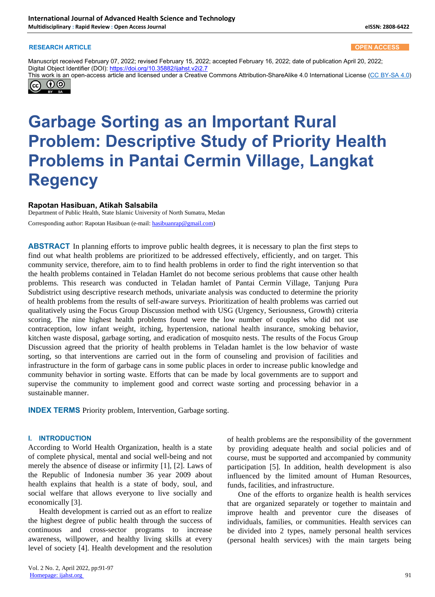#### **RESEARCH ARTICLE OPEN ACCESS**

Manuscript received February 07, 2022; revised February 15, 2022; accepted February 16, 2022; date of publication April 20, 2022; Digital Object Identifier (DOI): https://doi.org/10.35882/ijahst.v2i2.7

This work is an open-access article and licensed under a Creative Commons Attribution-ShareAlike 4.0 International License (CC BY-SA 4.0) (cc)  $\Theta$ 

# **Garbage Sorting as an Important Rural Problem: Descriptive Study of Priority Health Problems in Pantai Cermin Village, Langkat Regency**

#### **Rapotan Hasibuan, Atikah Salsabila**

Department of Public Health, State Islamic University of North Sumatra, Medan Corresponding author: Rapotan Hasibuan (e-mail: hasibuanrap@gmail.com)

**ABSTRACT** In planning efforts to improve public health degrees, it is necessary to plan the first steps to find out what health problems are prioritized to be addressed effectively, efficiently, and on target. This community service, therefore, aim to to find health problems in order to find the right intervention so that the health problems contained in Teladan Hamlet do not become serious problems that cause other health problems. This research was conducted in Teladan hamlet of Pantai Cermin Village, Tanjung Pura Subdistrict using descriptive research methods, univariate analysis was conducted to determine the priority of health problems from the results of self-aware surveys. Prioritization of health problems was carried out qualitatively using the Focus Group Discussion method with USG (Urgency, Seriousness, Growth) criteria scoring. The nine highest health problems found were the low number of couples who did not use contraception, low infant weight, itching, hypertension, national health insurance, smoking behavior, kitchen waste disposal, garbage sorting, and eradication of mosquito nests. The results of the Focus Group Discussion agreed that the priority of health problems in Teladan hamlet is the low behavior of waste sorting, so that interventions are carried out in the form of counseling and provision of facilities and infrastructure in the form of garbage cans in some public places in order to increase public knowledge and community behavior in sorting waste. Efforts that can be made by local governments are to support and supervise the community to implement good and correct waste sorting and processing behavior in a sustainable manner.

**INDEX TERMS** Priority problem, Intervention, Garbage sorting.

#### **I. INTRODUCTION**

According to World Health Organization, health is a state of complete physical, mental and social well-being and not merely the absence of disease or infirmity [1], [2]. Laws of the Republic of Indonesia number 36 year 2009 about health explains that health is a state of body, soul, and social welfare that allows everyone to live socially and economically [3].

Health development is carried out as an effort to realize the highest degree of public health through the success of continuous and cross-sector programs to increase awareness, willpower, and healthy living skills at every level of society [4]. Health development and the resolution

of health problems are the responsibility of the government by providing adequate health and social policies and of course, must be supported and accompanied by community participation [5]. In addition, health development is also influenced by the limited amount of Human Resources, funds, facilities, and infrastructure.

One of the efforts to organize health is health services that are organized separately or together to maintain and improve health and preventor cure the diseases of individuals, families, or communities. Health services can be divided into 2 types, namely personal health services (personal health services) with the main targets being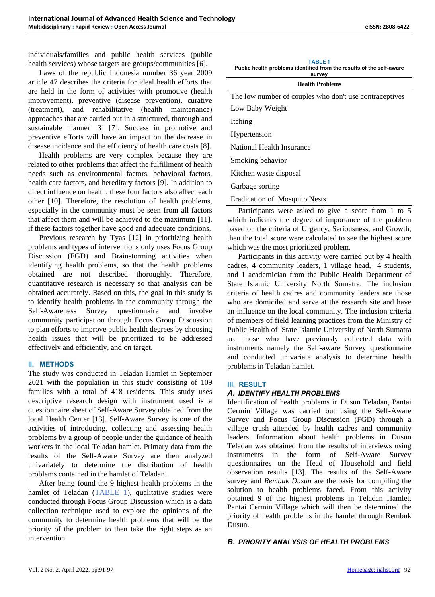individuals/families and public health services (public health services) whose targets are groups/communities [6].

Laws of the republic Indonesia number 36 year 2009 article 47 describes the criteria for ideal health efforts that are held in the form of activities with promotive (health improvement), preventive (disease prevention), curative (treatment), and rehabilitative (health maintenance) approaches that are carried out in a structured, thorough and sustainable manner [3] [7]. Success in promotive and preventive efforts will have an impact on the decrease in disease incidence and the efficiency of health care costs [8].

Health problems are very complex because they are related to other problems that affect the fulfillment of health needs such as environmental factors, behavioral factors, health care factors, and hereditary factors [9]. In addition to direct influence on health, these four factors also affect each other [10]. Therefore, the resolution of health problems, especially in the community must be seen from all factors that affect them and will be achieved to the maximum [11], if these factors together have good and adequate conditions.

Previous research by Tyas [12] in prioritizing health problems and types of interventions only uses Focus Group Discussion (FGD) and Brainstorming activities when identifying health problems, so that the health problems obtained are not described thoroughly. Therefore, quantitative research is necessary so that analysis can be obtained accurately. Based on this, the goal in this study is to identify health problems in the community through the Self-Awareness Survey questionnaire and involve community participation through Focus Group Discussion to plan efforts to improve public health degrees by choosing health issues that will be prioritized to be addressed effectively and efficiently, and on target.

## **II. METHODS**

The study was conducted in Teladan Hamlet in September 2021 with the population in this study consisting of 109 families with a total of 418 residents. This study uses descriptive research design with instrument used is a questionnaire sheet of Self-Aware Survey obtained from the local Health Center [13]. Self-Aware Survey is one of the activities of introducing, collecting and assessing health problems by a group of people under the guidance of health workers in the local Teladan hamlet. Primary data from the results of the Self-Aware Survey are then analyzed univariately to determine the distribution of health problems contained in the hamlet of Teladan.

After being found the 9 highest health problems in the hamlet of Teladan (TABLE 1), qualitative studies were conducted through Focus Group Discussion which is a data collection technique used to explore the opinions of the community to determine health problems that will be the priority of the problem to then take the right steps as an intervention.

|  | <b>TABLE 1</b> |  |  |  |
|--|----------------|--|--|--|
|  |                |  |  |  |

**Public health problems identified from the results of the self-aware survey**

| <b>Health Problems</b> |  |
|------------------------|--|
|                        |  |

| The low number of couples who don't use contraceptives                   |
|--------------------------------------------------------------------------|
| Low Baby Weight                                                          |
| Itching                                                                  |
| Hypertension                                                             |
| National Health Insurance                                                |
| Smoking behavior                                                         |
| Kitchen waste disposal                                                   |
| Garbage sorting                                                          |
| <b>Eradication of Mosquito Nests</b>                                     |
| $\mathbf{p}_{\text{articinante}}$ were asked to give a score from 1 to 5 |

Participants were asked to give a score from 1 to 5 which indicates the degree of importance of the problem based on the criteria of Urgency, Seriousness, and Growth, then the total score were calculated to see the highest score which was the most prioritized problem.

Participants in this activity were carried out by 4 health cadres, 4 community leaders, 1 village head, 4 students, and 1 academician from the Public Health Department of State Islamic University North Sumatra. The inclusion criteria of health cadres and community leaders are those who are domiciled and serve at the research site and have an influence on the local community. The inclusion criteria of members of field learning practices from the Ministry of Public Health of State Islamic University of North Sumatra are those who have previously collected data with instruments namely the Self-aware Survey questionnaire and conducted univariate analysis to determine health problems in Teladan hamlet.

## **III. RESULT**

## *A. IDENTIFY HEALTH PROBLEMS*

Identification of health problems in Dusun Teladan, Pantai Cermin Village was carried out using the Self-Aware Survey and Focus Group Discussion (FGD) through a village crush attended by health cadres and community leaders. Information about health problems in Dusun Teladan was obtained from the results of interviews using instruments in the form of Self-Aware Survey questionnaires on the Head of Household and field observation results [13]. The results of the Self-Aware survey and *Rembuk Dusun* are the basis for compiling the solution to health problems faced. From this activity obtained 9 of the highest problems in Teladan Hamlet, Pantai Cermin Village which will then be determined the priority of health problems in the hamlet through Rembuk Dusun.

*B. PRIORITY ANALYSIS OF HEALTH PROBLEMS*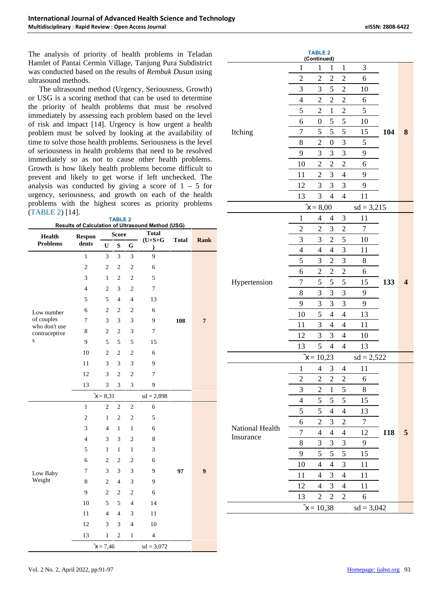The analysis of priority of health problems in Teladan Hamlet of Pantai Cermin Village, Tanjung Pura Subdistrict was conducted based on the results of *Rembuk Dusun* using ultrasound methods.

The ultrasound method (Urgency, Seriousness, Growth) or USG is a scoring method that can be used to determine the priority of health problems that must be resolved immediately by assessing each problem based on the level of risk and impact [14]. Urgency is how urgent a health problem must be solved by looking at the availability of time to solve those health problems. Seriousness is the level of seriousness in health problems that need to be resolved immediately so as not to cause other health problems. Growth is how likely health problems become difficult to prevent and likely to get worse if left unchecked. The analysis was conducted by giving a score of  $1 - 5$  for urgency, seriousness, and growth on each of the health problems with the highest scores as priority problems (TABLE 2) [14]. **TABLE 2**

| IADLE 4                                                  |  |
|----------------------------------------------------------|--|
| <b>Results of Calculation of Ultrasound Method (USG)</b> |  |

|                                  |                        | <b>Score</b>   |                |                | <u>Results of Calculation of Ultrasound Method (USG)</u><br><b>Total</b> |              |                  |
|----------------------------------|------------------------|----------------|----------------|----------------|--------------------------------------------------------------------------|--------------|------------------|
| <b>Health</b><br><b>Problems</b> | <b>Respon</b><br>dents | U              | ${\bf S}$      | G              | $(U+S+G)$<br>$\mathcal{E}$                                               | <b>Total</b> | Rank             |
|                                  | $\mathbf{1}$           | 3              | 3              | 3              | 9                                                                        |              |                  |
|                                  | $\mathfrak{2}$         | $\overline{c}$ | $\mathbf{2}$   | $\mathfrak{2}$ | 6                                                                        |              |                  |
|                                  | 3                      | 1              | $\overline{c}$ | $\sqrt{2}$     | 5                                                                        |              |                  |
|                                  | $\overline{4}$         | $\overline{c}$ | 3              | $\overline{c}$ | $\overline{7}$                                                           |              |                  |
|                                  | 5                      | 5              | $\overline{4}$ | $\overline{4}$ | 13                                                                       |              |                  |
| Low number                       | 6                      | $\overline{c}$ | $\overline{c}$ | $\overline{c}$ | 6                                                                        |              |                  |
| of couples<br>who don't use      | $\tau$                 | 3              | 3              | 3              | 9                                                                        | 108          | $\overline{7}$   |
| contraceptive                    | 8                      | $\mathfrak{2}$ | $\mathfrak{2}$ | 3              | 7                                                                        |              |                  |
| S                                | 9                      | 5              | 5              | 5              | 15                                                                       |              |                  |
|                                  | 10                     | $\overline{c}$ | $\overline{c}$ | $\overline{c}$ | 6                                                                        |              |                  |
|                                  | 11                     | 3              | 3              | 3              | 9                                                                        |              |                  |
|                                  | 12                     | 3              | $\overline{2}$ | $\overline{2}$ | $\overline{7}$                                                           |              |                  |
|                                  | 13                     | 3              | 3              | 3              | 9                                                                        |              |                  |
|                                  |                        | $x = 8,31$     |                |                | $sd = 2,898$                                                             |              |                  |
|                                  | $\mathbf{1}$           | $\overline{c}$ | $\mathfrak{2}$ | $\overline{c}$ | 6                                                                        |              |                  |
|                                  | $\overline{c}$         | 1              | $\overline{c}$ | $\overline{c}$ | 5                                                                        |              |                  |
|                                  | 3                      | $\overline{4}$ | $\mathbf{1}$   | $\mathbf{1}$   | 6                                                                        |              |                  |
|                                  | $\overline{4}$         | 3              | 3              | $\overline{c}$ | 8                                                                        |              |                  |
|                                  | 5                      | $\mathbf{1}$   | $\mathbf{1}$   | $\mathbf{1}$   | 3                                                                        |              |                  |
|                                  | 6                      | $\mathfrak{2}$ | $\mathfrak{2}$ | $\overline{c}$ | 6                                                                        |              |                  |
| Low Baby                         | $\tau$                 | 3              | 3              | 3              | 9                                                                        | 97           | $\boldsymbol{9}$ |
| Weight                           | 8                      | $\overline{c}$ | $\overline{4}$ | 3              | 9                                                                        |              |                  |
|                                  | 9                      | $\overline{c}$ | $\overline{c}$ | $\overline{c}$ | 6                                                                        |              |                  |
|                                  | 10                     | 5              | 5              | $\overline{4}$ | 14                                                                       |              |                  |
|                                  | 11                     | $\overline{4}$ | 4              | 3              | 11                                                                       |              |                  |
|                                  | 12                     | 3              | 3              | $\overline{4}$ | 10                                                                       |              |                  |
|                                  | 13                     | $\mathbf{1}$   | $\overline{c}$ | 1              | $\overline{\mathbf{4}}$                                                  |              |                  |
|                                  |                        | $x = 7,46$     |                |                | $sd = 3,072$                                                             |              |                  |

|                              |                | <b>TABLE 2</b>              |                  |                          |                  |     |                         |
|------------------------------|----------------|-----------------------------|------------------|--------------------------|------------------|-----|-------------------------|
|                              | $\mathbf{1}$   | (Continued)<br>$\mathbf{1}$ | $\mathbf{1}$     | $\mathbf{1}$             | 3                |     |                         |
|                              | $\overline{2}$ | $\overline{2}$              | $\overline{2}$   | $\overline{c}$           | 6                |     |                         |
|                              | 3              | 3                           | 5                | $\boldsymbol{2}$         | 10               |     |                         |
|                              | $\overline{4}$ | $\overline{2}$              | $\overline{c}$   | $\overline{c}$           | 6                |     |                         |
|                              | 5              | $\overline{2}$              | $\mathbf{1}$     | $\overline{c}$           | 5                |     |                         |
|                              | 6              | $\boldsymbol{0}$            | 5                | 5                        | 10               |     |                         |
| Itching                      | $\overline{7}$ | 5                           | 5                | 5                        | 15               | 104 | 8                       |
|                              | 8              | $\overline{2}$              | $\boldsymbol{0}$ | 3                        | 5                |     |                         |
|                              | 9              | 3                           | 3                | 3                        | 9                |     |                         |
|                              | 10             | $\overline{2}$              | $\overline{c}$   | $\overline{c}$           | 6                |     |                         |
|                              | 11             | $\overline{2}$              | 3                | $\overline{4}$           | 9                |     |                         |
|                              | 12             | 3                           | 3                | 3                        | 9                |     |                         |
|                              | 13             | 3                           | $\overline{4}$   | $\overline{4}$           | 11               |     |                         |
|                              |                | $x = 8,00$                  |                  |                          | $sd = 3,215$     |     |                         |
|                              | $\mathbf{1}$   | 4                           | 4                | 3                        | 11               |     |                         |
|                              | $\overline{2}$ | $\overline{c}$              | 3                | $\overline{c}$           | $\boldsymbol{7}$ |     |                         |
|                              | 3              | 3                           | $\overline{c}$   | 5                        | 10               | 133 |                         |
|                              | $\overline{4}$ | 4                           | 4                | 3                        | 11               |     |                         |
|                              | 5              | 3                           | $\overline{c}$   | 3                        | 8                |     |                         |
|                              | 6              | $\overline{c}$              | $\overline{c}$   | $\overline{c}$           | 6                |     |                         |
| Hypertension                 | $\overline{7}$ | 5                           | 5                | 5                        | 15               |     | $\overline{\mathbf{4}}$ |
|                              | 8              | 3                           | 3                | 3                        | 9                |     |                         |
|                              | 9              | 3                           | 3                | 3                        | 9                |     |                         |
|                              | 10             | 5                           | 4                | 4                        | 13               |     |                         |
|                              | 11             | 3                           | 4                | $\overline{4}$           | 11               |     |                         |
|                              | 12             | 3                           | 3                | $\overline{4}$           | 10               |     |                         |
|                              | 13             | 5                           | 4                | 4                        | 13               |     |                         |
|                              |                | $x = 10,23$                 |                  |                          | $sd = 2,522$     |     |                         |
|                              | $\,1$          | 4                           | 3                | 4                        | 11               |     |                         |
|                              | $\overline{c}$ | $\overline{2}$              | $\overline{c}$   | $\overline{c}$           | 6                |     |                         |
|                              | 3              | $\overline{c}$              | $\,1$            | 5                        | 8                |     |                         |
|                              | $\overline{4}$ | 5                           | 5                | 5                        | 15               |     |                         |
|                              | 5              | 5                           | 4                | $\overline{\mathcal{L}}$ | 13               |     |                         |
|                              | 6              | $\overline{c}$              | 3                | $\overline{c}$           | $\overline{7}$   |     |                         |
| National Health<br>Insurance | $\overline{7}$ | $\overline{\mathcal{L}}$    | 4                | $\overline{\mathcal{A}}$ | 12               | 118 | 5                       |
|                              | 8              | 3                           | 3                | 3                        | 9                |     |                         |
|                              | 9              | 5                           | 5                | 5                        | 15               |     |                         |
|                              | 10             | 4                           | $\overline{4}$   | 3                        | 11               |     |                         |
|                              | 11             | 4                           | 3                | $\overline{\mathcal{L}}$ | 11               |     |                         |
|                              | 12             | 4                           | 3                | 4                        | 11               |     |                         |
|                              | 13             | $\overline{c}$              | $\overline{c}$   | $\boldsymbol{2}$         | 6                |     |                         |
|                              |                | $x = 10,38$                 |                  |                          | $sd = 3,042$     |     |                         |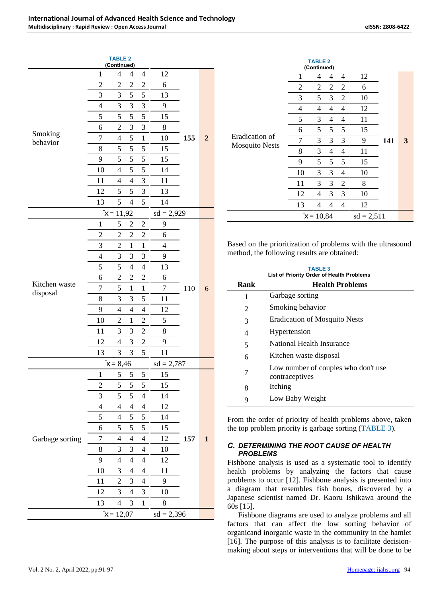|                     |                | <b>TABLE 2</b><br>(Continued) |                |                          |                |     |              |              |
|---------------------|----------------|-------------------------------|----------------|--------------------------|----------------|-----|--------------|--------------|
|                     | $\mathbf{1}$   | $\overline{4}$                | 4              | $\overline{4}$           | 12             |     |              |              |
|                     | $\overline{c}$ | $\overline{2}$                | $\overline{c}$ | $\overline{c}$           | 6              |     |              |              |
|                     | 3              | 3                             | 5              | 5                        | 13             |     |              |              |
|                     | $\overline{4}$ | 3                             | 3              | 3                        | 9              |     | $\mathbf{2}$ |              |
|                     | 5              | 5                             | 5              | 5                        | 15             |     |              |              |
|                     | 6              | $\overline{c}$                | 3              | 3                        | $\,$ 8 $\,$    |     |              |              |
| Smoking<br>behavior | $\overline{7}$ | $\overline{4}$                | 5              | $\mathbf 1$              | 10             | 155 |              | E            |
|                     | 8              | 5                             | 5              | 5                        | 15             |     |              | $\mathbf{N}$ |
|                     | 9              | 5                             | 5              | 5                        | 15             |     |              |              |
|                     | 10             | $\overline{4}$                | 5              | 5                        | 14             |     |              |              |
|                     | 11             | $\overline{4}$                | $\overline{4}$ | 3                        | 11             |     |              |              |
|                     | 12             | 5                             | 5              | 3                        | 13             |     |              |              |
|                     | 13             | 5                             | $\overline{4}$ | 5                        | 14             |     |              |              |
|                     |                | $x = 11,92$                   |                |                          | $sd = 2,929$   |     |              |              |
|                     | $\mathbf{1}$   | 5                             | 2              | 2                        | 9              |     | 6            |              |
|                     | $\overline{c}$ | $\overline{c}$                | $\overline{c}$ | $\overline{c}$           | 6              |     |              |              |
|                     | 3              | $\overline{2}$                | $\mathbf{1}$   | $\mathbf 1$              | $\overline{4}$ |     |              | Ba           |
|                     | 4              | 3                             | 3              | 3                        | 9              |     |              | me           |
|                     | 5              | 5                             | $\overline{4}$ | 4                        | 13             |     |              |              |
|                     | 6              | $\overline{c}$                | $\overline{c}$ | $\overline{c}$           | 6              |     |              |              |
| Kitchen waste       | $\overline{7}$ | 5                             | $\mathbf{1}$   | $\mathbf{1}$             | $\tau$         | 110 |              |              |
| disposal            | 8              | 3                             | 3              | 5                        | 11             |     |              |              |
|                     | 9              | $\overline{4}$                | $\overline{4}$ | $\overline{4}$           | 12             |     |              |              |
|                     | 10             | $\overline{c}$                | $\mathbf{1}$   | $\overline{2}$           | 5              |     |              |              |
|                     | 11             | 3                             | 3              | $\overline{c}$           | 8              |     |              |              |
|                     | 12             | $\overline{4}$                | 3              | $\overline{c}$           | 9              |     |              |              |
|                     | 13             | 3                             | 3              | 5                        | 11             |     |              |              |
|                     |                | $x = 8,46$                    |                |                          | $sd = 2,787$   |     |              |              |
|                     | 1              | 5                             | 5              | 5                        | 15             |     |              |              |
|                     | $\overline{c}$ | 5                             | 5              | 5                        | 15             |     |              |              |
|                     | 3              | 5                             | 5              | $\overline{4}$           | 14             |     |              |              |
|                     | 4              | 4                             | 4              | 4                        | 12             |     |              |              |
|                     | 5              | $\overline{4}$                | 5              | 5                        | 14             |     |              | Fro          |
|                     | 6              | 5                             | 5              | 5                        | 15             |     |              | the          |
| Garbage sorting     | 7              | 4                             | $\overline{4}$ | $\overline{4}$           | 12             | 157 | $\mathbf{1}$ |              |
|                     | 8              | 3                             | 3              | $\overline{4}$           | 10             |     |              | C.           |
|                     | 9              | $\overline{4}$                | $\overline{4}$ | $\overline{\mathcal{L}}$ | 12             |     |              | Fis          |
|                     | 10             | 3                             | $\overline{4}$ | 4                        | 11             |     |              | hea          |
|                     | 11             | $\overline{2}$                | 3              | $\overline{4}$           | 9              |     |              | prc          |
|                     | 12             | 3                             | $\overline{4}$ | 3                        | 10             |     |              | a            |
|                     | 13             | 4                             | 3              | $\mathbf 1$              | $8\,$          |     |              | Jap<br>60s   |
|                     |                | $x = 12,07$                   |                |                          | $sd = 2,396$   |     |              |              |

|                                         |                | <b>TABLE 2</b><br>(Continued) |   |                |              |     |   |
|-----------------------------------------|----------------|-------------------------------|---|----------------|--------------|-----|---|
|                                         | 1              | 4                             | 4 | 4              | 12           |     |   |
|                                         | $\overline{2}$ | 2                             | 2 | 2              | 6            |     | 3 |
|                                         | 3              | 5                             | 3 | 2              | 10           | 141 |   |
|                                         | $\overline{4}$ | 4                             | 4 | $\overline{4}$ | 12           |     |   |
|                                         | 5              | 3                             | 4 | 4              | 11           |     |   |
|                                         | 6              | 5                             | 5 | 5              | 15           |     |   |
| Eradication of<br><b>Mosquito Nests</b> | $\overline{7}$ | 3                             | 3 | 3              | 9            |     |   |
|                                         | 8              | 3                             | 4 | 4              | 11           |     |   |
|                                         | 9              | 5                             | 5 | 5              | 15           |     |   |
|                                         | 10             | 3                             | 3 | 4              | 10           |     |   |
|                                         | 11             | 3                             | 3 | 2              | 8            |     |   |
|                                         | 12             | 4                             | 3 | 3              | 10           |     |   |
|                                         | 13             | 4                             | 4 | 4              | 12           |     |   |
|                                         |                | $x = 10,84$                   |   |                | $sd = 2,511$ |     |   |

Based on the prioritization of problems with the ultrasound method, the following results are obtained:

|      | <b>TABLE 3</b><br><b>List of Priority Order of Health Problems</b> |
|------|--------------------------------------------------------------------|
| Rank | <b>Health Problems</b>                                             |
| 1    | Garbage sorting                                                    |
| 2    | Smoking behavior                                                   |
| 3    | <b>Eradication of Mosquito Nests</b>                               |
| 4    | Hypertension                                                       |
| 5    | National Health Insurance                                          |
| 6    | Kitchen waste disposal                                             |
| 7    | Low number of couples who don't use<br>contraceptives              |
| 8    | Itching                                                            |
| 9    | Low Baby Weight                                                    |

From the order of priority of health problems above, taken the top problem priority is garbage sorting (TABLE 3).

## *C. DETERMINING THE ROOT CAUSE OF HEALTH PROBLEMS*

Fishbone analysis is used as a systematic tool to identify health problems by analyzing the factors that cause problems to occur [12]. Fishbone analysis is presented into a diagram that resembles fish bones, discovered by a Japanese scientist named Dr. Kaoru Ishikawa around the 60s [15].

Fishbone diagrams are used to analyze problems and all factors that can affect the low sorting behavior of organicand inorganic waste in the community in the hamlet [16]. The purpose of this analysis is to facilitate decision making about steps or interventions that will be done to be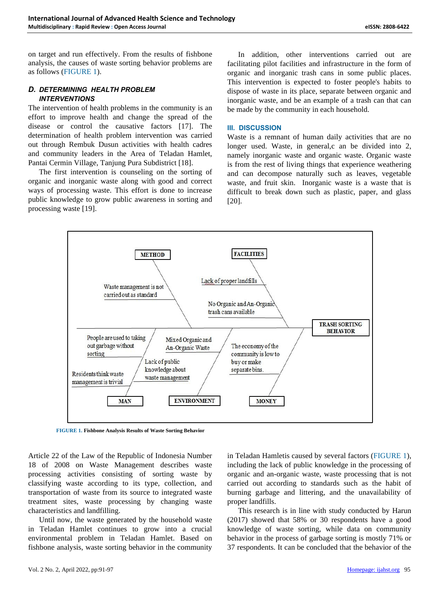on target and run effectively. From the results of fishbone analysis, the causes of waste sorting behavior problems are as follows (FIGURE 1).

## *D. DETERMINING HEALTH PROBLEM INTERVENTIONS*

The intervention of health problems in the community is an effort to improve health and change the spread of the disease or control the causative factors [17]. The determination of health problem intervention was carried out through Rembuk Dusun activities with health cadres and community leaders in the Area of Teladan Hamlet, Pantai Cermin Village, Tanjung Pura Subdistrict [18].

The first intervention is counseling on the sorting of organic and inorganic waste along with good and correct ways of processing waste. This effort is done to increase public knowledge to grow public awareness in sorting and processing waste [19].

In addition, other interventions carried out are facilitating pilot facilities and infrastructure in the form of organic and inorganic trash cans in some public places. This intervention is expected to foster people's habits to dispose of waste in its place, separate between organic and inorganic waste, and be an example of a trash can that can be made by the community in each household.

#### **III. DISCUSSION**

Waste is a remnant of human daily activities that are no longer used. Waste, in general, c an be divided into 2, namely inorganic waste and organic waste. Organic waste is from the rest of living things that experience weathering and can decompose naturally such as leaves, vegetable waste, and fruit skin. Inorganic waste is a waste that is difficult to break down such as plastic, paper, and glass [20].



**FIGURE 1. Fishbone Analysis Results of Waste Sorting Behavior**

Article 22 of the Law of the Republic of Indonesia Number 18 of 2008 on Waste Management describes waste processing activities consisting of sorting waste by classifying waste according to its type, collection, and transportation of waste from its source to integrated waste treatment sites, waste processing by changing waste characteristics and landfilling.

Until now, the waste generated by the household waste in Teladan Hamlet continues to grow into a crucial environmental problem in Teladan Hamlet. Based on fishbone analysis, waste sorting behavior in the community in Teladan Hamletis caused by several factors (FIGURE 1), including the lack of public knowledge in the processing of organic and an-organic waste, waste processing that is not carried out according to standards such as the habit of burning garbage and littering, and the unavailability of proper landfills.

This research is in line with study conducted by Harun (2017) showed that 58% or 30 respondents have a good knowledge of waste sorting, while data on community behavior in the process of garbage sorting is mostly 71% or 37 respondents. It can be concluded that the behavior of the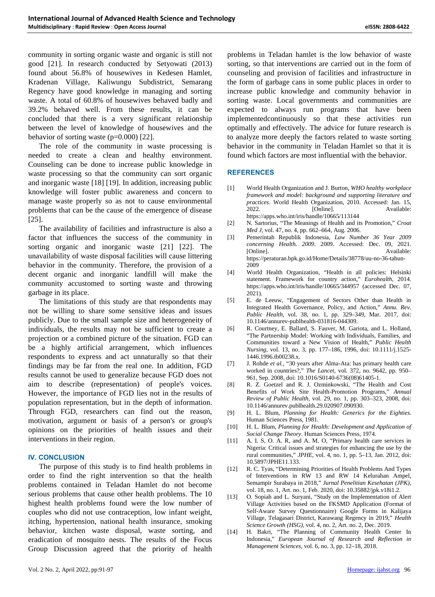community in sorting organic waste and organic is still not good [21]. In research conducted by Setyowati (2013) found about 56.8% of housewives in Kedesen Hamlet, Kradenan Village, Kaliwungu Subdistrict, Semarang Regency have good knowledge in managing and sorting waste. A total of 60.8% of housewives behaved badly and 39.2% behaved well. From these results, it can be concluded that there is a very significant relationship between the level of knowledge of housewives and the behavior of sorting waste (p=0.000) [22].

The role of the community in waste processing is needed to create a clean and healthy environment. Counseling can be done to increase public knowledge in waste processing so that the community can sort organic and inorganic waste [18] [19]. In addition, increasing public knowledge will foster public awareness and concern to manage waste properly so as not to cause environmental problems that can be the cause of the emergence of disease [25]. The availability of facilities and infrastructure is also a  $[2]$ 

factor that influences the success of the community in [3] sorting organic and inorganic waste [21] [22]. The unavailability of waste disposal facilities will cause littering behavior in the community. Therefore, the provision of a<br>decent organic and inorganic landfill will make the [4] decent organic and inorganic landfill will make the community accustomed to sorting waste and throwing garbage in its place.

The limitations of this study are that respondents may [5] not be willing to share some sensitive ideas and issues publicly. Due to the small sample size and heterogeneity of individuals, the results may not be sufficient to create a [6] projection or a combined picture of the situation. FGD can be a highly artificial arrangement, which influences respondents to express and act unnaturally so that their<br>findings may be far from the roal one. In addition, EGD [7] findings may be far from the real one. In addition, FGD results cannot be used to generalize because FGD does not aim to describe (representation) of people's voices. However, the importance of FGD lies not in the results of population representation, but in the depth of information. Through FGD, researchers can find out the reason, motivation, argument or basis of a person's or group's opinions on the priorities of health issues and their interventions in their region.

#### **IV. CONCLUSION**

The purpose of this study is to find health problems in  $[12]$ order to find the right intervention so that the health problems contained in Teladan Hamlet do not become serious problems that cause other health problems. The  $10$  [13] highest health problems found were the low number of couples who did not use contraception, low infant weight, itching, hypertension, national health insurance, smoking behavior, kitchen waste disposal, waste sorting, and eradication of mosquito nests. The results of the Focus Group Discussion agreed that the priority of health

problems in Teladan hamlet is the low behavior of waste sorting, so that interventions are carried out in the form of counseling and provision of facilities and infrastructure in the form of garbage cans in some public places in order to increase public knowledge and community behavior in sorting waste. Local governments and communities are expected to always run programs that have been implementedcontinuously so that these activities run optimally and effectively. The advice for future research is to analyze more deeply the factors related to waste sorting behavior in the community in Teladan Hamlet so that it is found which factors are most influential with the behavior.

#### **REFERENCES**

- [1] World Health Organization and J. Burton, *WHO healthy workplace framework and model: background and supporting literature and practices*. World Health Organization, 2010. Accessed: Jan. 15, 2022. [Online]. Available: https://apps.who.int/iris/handle/10665/113144
- [2] N. Sartorius, "The Meanings of Health and its Promotion," *Croat Med J*, vol. 47, no. 4, pp. 662–664, Aug. 2006.
- [3] Pemerintah Republik Indonesia, *Law Number 36 Year 2009 concerning Health. 2009*. 2009. Accessed: Dec. 09, 2021. [Online]. Available: https://peraturan.bpk.go.id/Home/Details/38778/uu-no-36-tahun- 2009
- [4] World Health Organization, "Health in all policies: Helsinki statement. Framework for country action," *Eurohealth*, 2014. https://apps.who.int/iris/handle/10665/344957 (accessed Dec. 07, 2021).
- E. de Leeuw, "Engagement of Sectors Other than Health in Integrated Health Governance, Policy, and Action," *Annu. Rev. Public Health*, vol. 38, no. 1, pp. 329–349, Mar. 2017, doi: 10.1146/annurev-publhealth-031816-044309.
- R. Courtney, E. Ballard, S. Fauver, M. Gariota, and L. Holland, "The Partnership Model: Working with Individuals, Families, and Communities toward a New Vision of Health," *Public Health Nursing*, vol. 13, no. 3, pp. 177–186, 1996, doi: 10.1111/j.1525- 1446.1996.tb00238.x.
- [7] J. Rohde *et al.*, "30 years after Alma-Ata: has primary health care worked in countries?," *The Lancet*, vol. 372, no. 9642, pp. 950– 961, Sep. 2008, doi: 10.1016/S0140-6736(08)61405-1.
- [8] R. Z. Goetzel and R. J. Ozminkowski, "The Health and Cost Benefits of Work Site Health-Promotion Programs," *Annual Review of Public Health*, vol. 29, no. 1, pp. 303–323, 2008, doi: 10.1146/annurev.publhealth.29.020907.090930.
- [9] H. L. Blum, *Planning for Health: Generics for the Eighties*. Human Sciences Press, 1981.
- [10] H. L. Blum, *Planning for Health: Development and Application of Social Change Theory*. Human Sciences Press, 1974.
- [11] A. I. S, O. A. R, and A. M. O, "Primary health care services in Nigeria: Critical issues and strategies for enhancing the use by the rural communities," *JPHE*, vol. 4, no. 1, pp. 5–13, Jan. 2012, doi: 10.5897/JPHE11.133.
- R. C. Tyas, "Determining Priorities of Health Problems And Types of Interventions in RW 13 and RW 14 Kelurahan Ampel, Semampir Surabaya in 2018," *Jurnal Penelitian Kesehatan (JPK)*, vol. 18, no. 1, Art. no. 1, Feb. 2020, doi: 10.35882/jpk.v18i1.2.
- [13] O. Sopiah and L. Suryani, "Study on the Implementation of Alert Village Activities based on the FKSMD Application (Format of Self-Aware Survey Questionnaire) Google Forms in Kalijaya Village, Telagasari District, Karawang Regency in 2019," *Health Science Growth (HSG)*, vol. 4, no. 2, Art. no. 2, Dec. 2019.
- [14] H. Bakri, "The Planning of Community Health Center In Indonesia," *European Journal of Research and Reflection in Management Sciences*, vol. 6, no. 3, pp. 12–18, 2018.